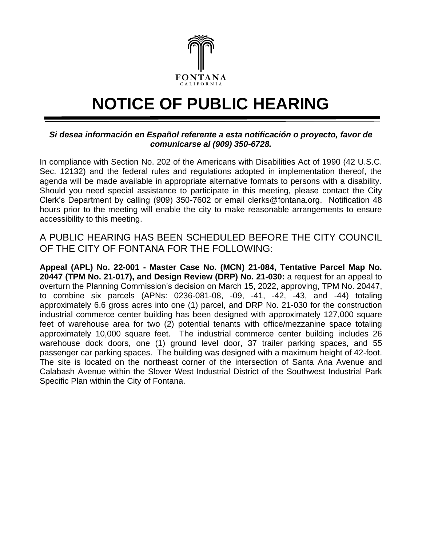

## **NOTICE OF PUBLIC HEARING**

## *Si desea información en Español referente a esta notificación o proyecto, favor de comunicarse al (909) 350-6728.*

In compliance with Section No. 202 of the Americans with Disabilities Act of 1990 (42 U.S.C. Sec. 12132) and the federal rules and regulations adopted in implementation thereof, the agenda will be made available in appropriate alternative formats to persons with a disability. Should you need special assistance to participate in this meeting, please contact the City Clerk's Department by calling (909) 350-7602 or email [clerks@fontana.org.](mailto:clerks@fontana.org) Notification 48 hours prior to the meeting will enable the city to make reasonable arrangements to ensure accessibility to this meeting.

A PUBLIC HEARING HAS BEEN SCHEDULED BEFORE THE CITY COUNCIL OF THE CITY OF FONTANA FOR THE FOLLOWING:

**Appeal (APL) No. 22-001 - Master Case No. (MCN) 21-084, Tentative Parcel Map No. 20447 (TPM No. 21-017), and Design Review (DRP) No. 21-030:** a request for an appeal to overturn the Planning Commission's decision on March 15, 2022, approving, TPM No. 20447, to combine six parcels (APNs: 0236-081-08, -09, -41, -42, -43, and -44) totaling approximately 6.6 gross acres into one (1) parcel, and DRP No. 21-030 for the construction industrial commerce center building has been designed with approximately 127,000 square feet of warehouse area for two (2) potential tenants with office/mezzanine space totaling approximately 10,000 square feet. The industrial commerce center building includes 26 warehouse dock doors, one (1) ground level door, 37 trailer parking spaces, and 55 passenger car parking spaces. The building was designed with a maximum height of 42-foot. The site is located on the northeast corner of the intersection of Santa Ana Avenue and Calabash Avenue within the Slover West Industrial District of the Southwest Industrial Park Specific Plan within the City of Fontana.